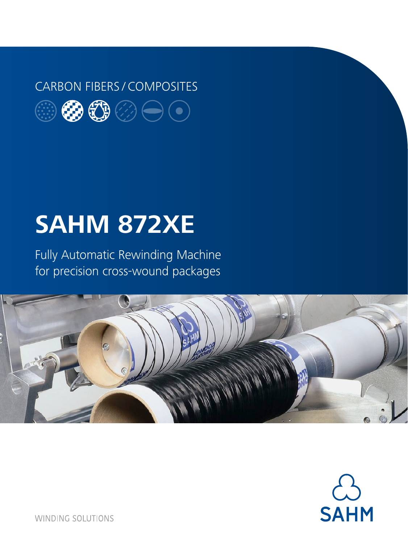### CARBON FIBERS / COMPOSITES



# **SAHM 872XE**

Fully Automatic Rewinding Machine for precision cross-wound packages





**WINDING SOLUTIONS**